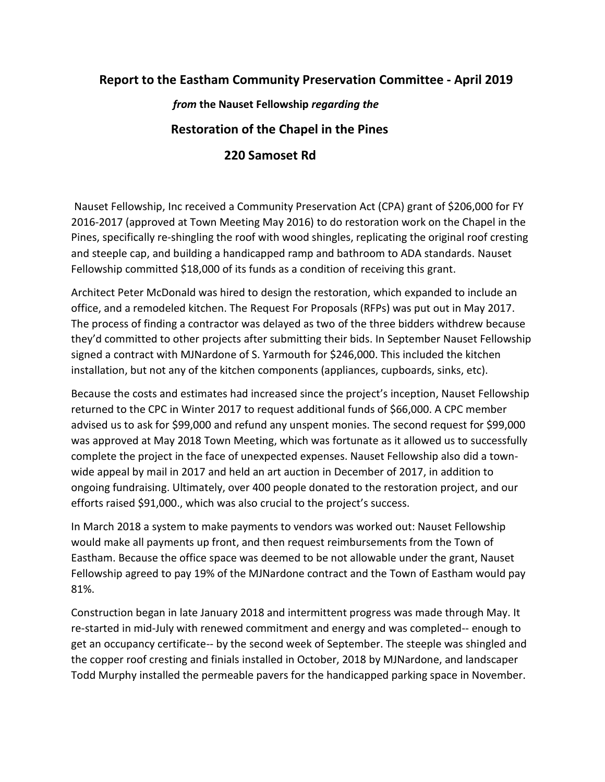## **Report to the Eastham Community Preservation Committee - April 2019**

 *from* **the Nauset Fellowship** *regarding the* **Restoration of the Chapel in the Pines 220 Samoset Rd**

Nauset Fellowship, Inc received a Community Preservation Act (CPA) grant of \$206,000 for FY 2016-2017 (approved at Town Meeting May 2016) to do restoration work on the Chapel in the Pines, specifically re-shingling the roof with wood shingles, replicating the original roof cresting and steeple cap, and building a handicapped ramp and bathroom to ADA standards. Nauset Fellowship committed \$18,000 of its funds as a condition of receiving this grant.

Architect Peter McDonald was hired to design the restoration, which expanded to include an office, and a remodeled kitchen. The Request For Proposals (RFPs) was put out in May 2017. The process of finding a contractor was delayed as two of the three bidders withdrew because they'd committed to other projects after submitting their bids. In September Nauset Fellowship signed a contract with MJNardone of S. Yarmouth for \$246,000. This included the kitchen installation, but not any of the kitchen components (appliances, cupboards, sinks, etc).

Because the costs and estimates had increased since the project's inception, Nauset Fellowship returned to the CPC in Winter 2017 to request additional funds of \$66,000. A CPC member advised us to ask for \$99,000 and refund any unspent monies. The second request for \$99,000 was approved at May 2018 Town Meeting, which was fortunate as it allowed us to successfully complete the project in the face of unexpected expenses. Nauset Fellowship also did a townwide appeal by mail in 2017 and held an art auction in December of 2017, in addition to ongoing fundraising. Ultimately, over 400 people donated to the restoration project, and our efforts raised \$91,000., which was also crucial to the project's success.

In March 2018 a system to make payments to vendors was worked out: Nauset Fellowship would make all payments up front, and then request reimbursements from the Town of Eastham. Because the office space was deemed to be not allowable under the grant, Nauset Fellowship agreed to pay 19% of the MJNardone contract and the Town of Eastham would pay 81%.

Construction began in late January 2018 and intermittent progress was made through May. It re-started in mid-July with renewed commitment and energy and was completed-- enough to get an occupancy certificate-- by the second week of September. The steeple was shingled and the copper roof cresting and finials installed in October, 2018 by MJNardone, and landscaper Todd Murphy installed the permeable pavers for the handicapped parking space in November.